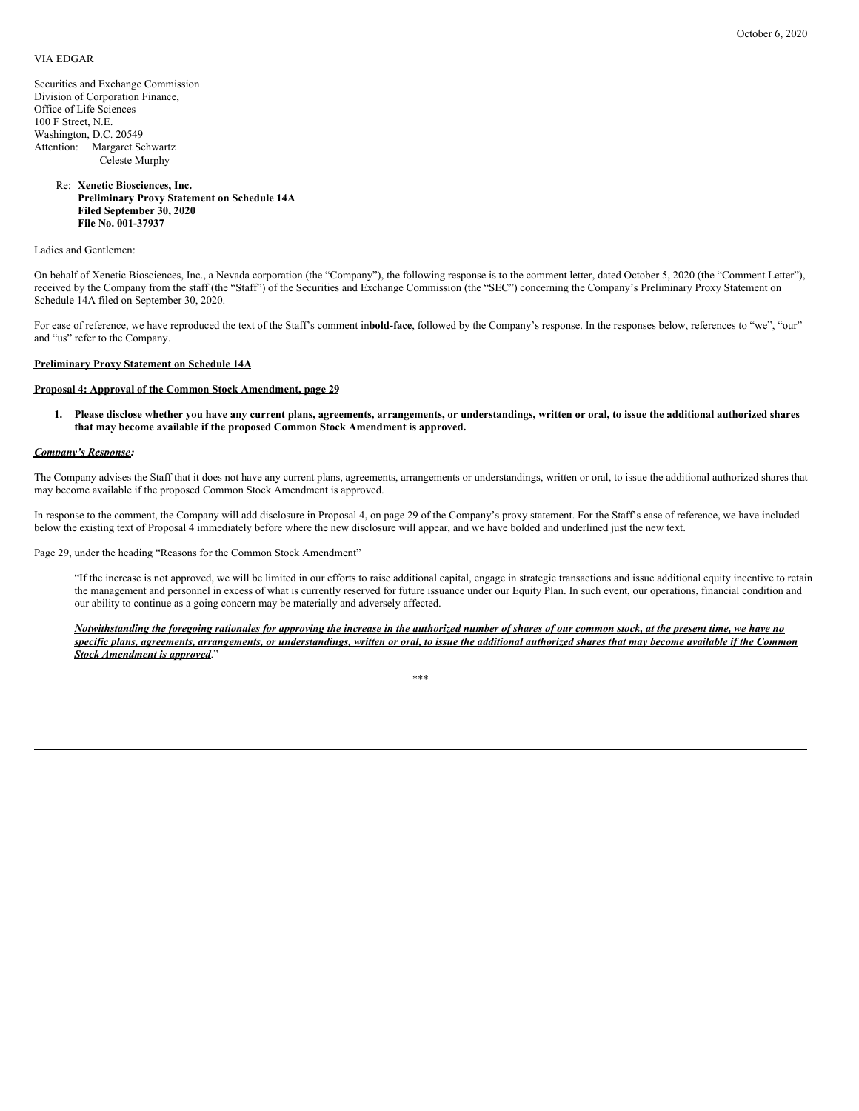## VIA EDGAR

Securities and Exchange Commission Division of Corporation Finance, Office of Life Sciences 100 F Street, N.E. Washington, D.C. 20549 Attention: Margaret Schwartz Celeste Murphy

# Re: **Xenetic Biosciences, Inc. Preliminary Proxy Statement on Schedule 14A Filed September 30, 2020 File No. 001-37937**

Ladies and Gentlemen:

On behalf of Xenetic Biosciences, Inc., a Nevada corporation (the "Company"), the following response is to the comment letter, dated October 5, 2020 (the "Comment Letter"), received by the Company from the staff (the "Staff") of the Securities and Exchange Commission (the "SEC") concerning the Company's Preliminary Proxy Statement on Schedule 14A filed on September 30, 2020.

For ease of reference, we have reproduced the text of the Staff's comment in**bold-face**, followed by the Company's response. In the responses below, references to "we", "our" and "us" refer to the Company.

# **Preliminary Proxy Statement on Schedule 14A**

#### **Proposal 4: Approval of the Common Stock Amendment, page 29**

1. Please disclose whether you have any current plans, agreements, arrangements, or understandings, written or oral, to issue the additional authorized shares **that may become available if the proposed Common Stock Amendment is approved.**

## *Company's Response:*

The Company advises the Staff that it does not have any current plans, agreements, arrangements or understandings, written or oral, to issue the additional authorized shares that may become available if the proposed Common Stock Amendment is approved.

In response to the comment, the Company will add disclosure in Proposal 4, on page 29 of the Company's proxy statement. For the Staff's ease of reference, we have included below the existing text of Proposal 4 immediately before where the new disclosure will appear, and we have bolded and underlined just the new text.

Page 29, under the heading "Reasons for the Common Stock Amendment"

"If the increase is not approved, we will be limited in our efforts to raise additional capital, engage in strategic transactions and issue additional equity incentive to retain the management and personnel in excess of what is currently reserved for future issuance under our Equity Plan. In such event, our operations, financial condition and our ability to continue as a going concern may be materially and adversely affected.

Notwithstanding the foregoing rationales for approving the increase in the authorized number of shares of our common stock, at the present time, we have no specific plans, agreements, arrangements, or understandings, written or oral, to issue the additional authorized shares that may become available if the Common *Stock Amendment is approved*."